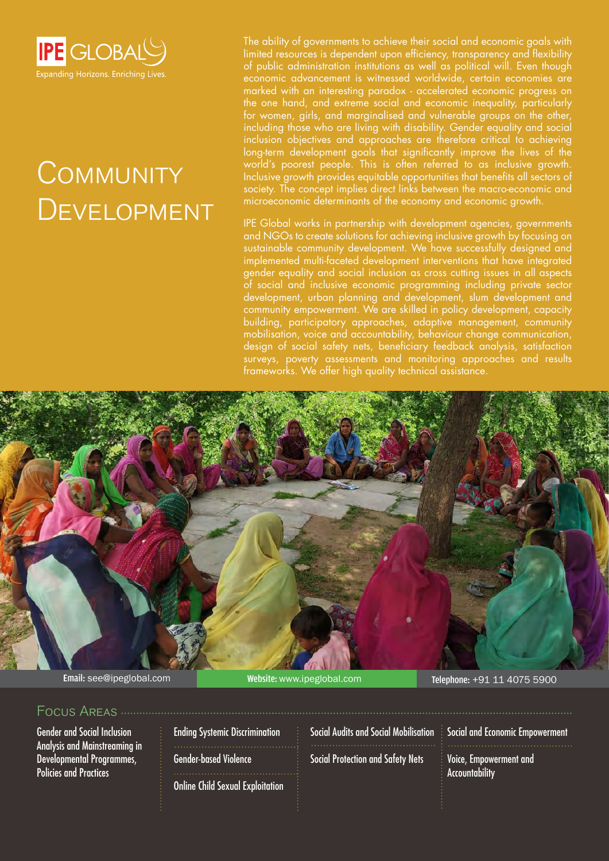

# **COMMUNITY DEVELOPMENT**

The ability of governments to achieve their social and economic goals with limited resources is dependent upon efficiency, transparency and flexibility of public administration institutions as well as political will. Even though economic advancement is witnessed worldwide, certain economies are marked with an interesting paradox - accelerated economic progress on the one hand, and extreme social and economic inequality, particularly for women, girls, and marginalised and vulnerable groups on the other, including those who are living with disability. Gender equality and social inclusion objectives and approaches are therefore critical to achieving long-term development goals that significantly improve the lives of the world's poorest people. This is often referred to as inclusive growth. Inclusive growth provides equitable opportunities that benefits all sectors of society. The concept implies direct links between the macro-economic and microeconomic determinants of the economy and economic growth.

IPE Global works in partnership with development agencies, governments and NGOs to create solutions for achieving inclusive growth by focusing on sustainable community development. We have successfully designed and implemented multi-faceted development interventions that have integrated gender equality and social inclusion as cross cutting issues in all aspects of social and inclusive economic programming including private sector development, urban planning and development, slum development and community empowerment. We are skilled in policy development, capacity building, participatory approaches, adaptive management, community mobilisation, voice and accountability, behaviour change communication, design of social safety nets, beneficiary feedback analysis, satisfaction surveys, poverty assessments and monitoring approaches and results frameworks. We offer high quality technical assistance.



### Focus Areas

Gender and Social Inclusion Analysis and Mainstreaming in Developmental Programmes, Policies and Practices

Ending Systemic Discrimination Gender-based Violence Online Child Sexual Exploitation Social Audits and Social Mobilisation Social Protection and Safety Nets

Social and Economic Empowerment

Voice, Empowerment and Accountability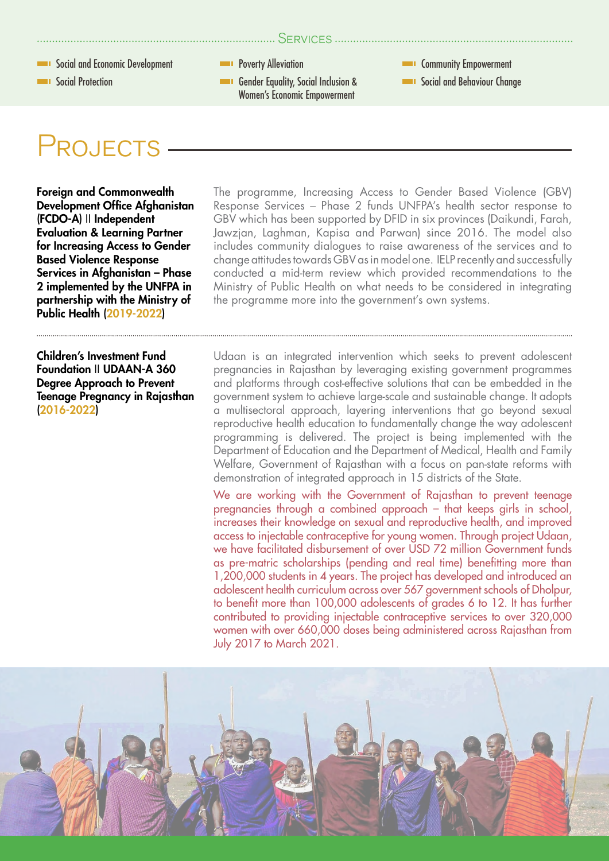

## PROJECTS

Foreign and Commonwealth Development Office Afghanistan (FCDO-A) II Independent Evaluation & Learning Partner for Increasing Access to Gender Based Violence Response Services in Afghanistan – Phase 2 implemented by the UNFPA in partnership with the Ministry of Public Health (2019-2022)

Children's Investment Fund Foundation II UDAAN-A 360 Degree Approach to Prevent Teenage Pregnancy in Rajasthan (2016-2022)

The programme, Increasing Access to Gender Based Violence (GBV) Response Services – Phase 2 funds UNFPA's health sector response to GBV which has been supported by DFID in six provinces (Daikundi, Farah, Jawzjan, Laghman, Kapisa and Parwan) since 2016. The model also includes community dialogues to raise awareness of the services and to change attitudes towards GBV as in model one. IELP recently and successfully conducted a mid-term review which provided recommendations to the Ministry of Public Health on what needs to be considered in integrating the programme more into the government's own systems.

Udaan is an integrated intervention which seeks to prevent adolescent pregnancies in Rajasthan by leveraging existing government programmes and platforms through cost-effective solutions that can be embedded in the government system to achieve large-scale and sustainable change. It adopts a multisectoral approach, layering interventions that go beyond sexual reproductive health education to fundamentally change the way adolescent programming is delivered. The project is being implemented with the Department of Education and the Department of Medical, Health and Family Welfare, Government of Rajasthan with a focus on pan-state reforms with demonstration of integrated approach in 15 districts of the State.

We are working with the Government of Rajasthan to prevent teenage pregnancies through a combined approach – that keeps girls in school, increases their knowledge on sexual and reproductive health, and improved access to injectable contraceptive for young women. Through project Udaan, we have facilitated disbursement of over USD 72 million Government funds as pre-matric scholarships (pending and real time) benefitting more than 1,200,000 students in 4 years. The project has developed and introduced an adolescent health curriculum across over 567 government schools of Dholpur, to benefit more than 100,000 adolescents of grades 6 to 12. It has further contributed to providing injectable contraceptive services to over 320,000 women with over 660,000 doses being administered across Rajasthan from July 2017 to March 2021.

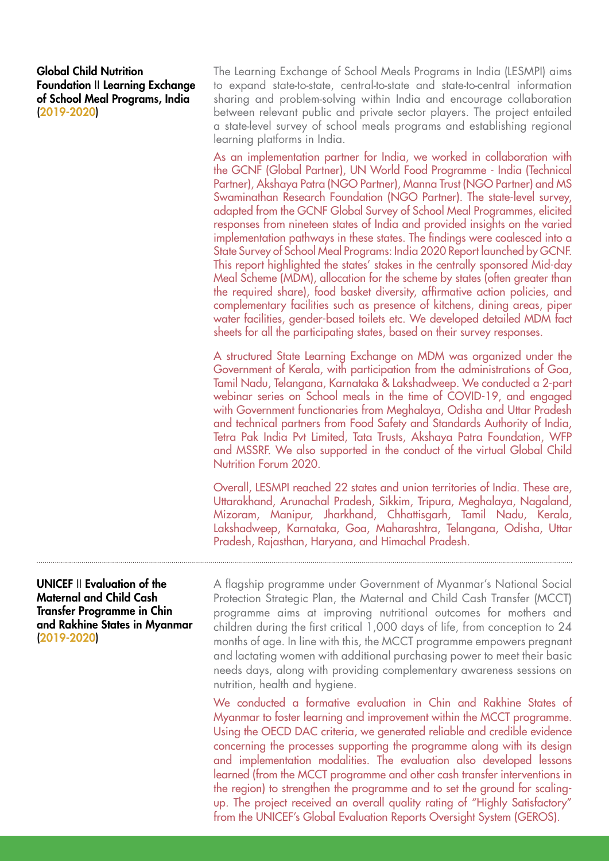#### Global Child Nutrition Foundation II Learning Exchange of School Meal Programs, India (2019-2020)

The Learning Exchange of School Meals Programs in India (LESMPI) aims to expand state-to-state, central-to-state and state-to-central information sharing and problem-solving within India and encourage collaboration between relevant public and private sector players. The project entailed a state-level survey of school meals programs and establishing regional learning platforms in India.

As an implementation partner for India, we worked in collaboration with the GCNF (Global Partner), UN World Food Programme - India (Technical Partner), Akshaya Patra (NGO Partner), Manna Trust (NGO Partner) and MS Swaminathan Research Foundation (NGO Partner). The state-level survey, adapted from the GCNF Global Survey of School Meal Programmes, elicited responses from nineteen states of India and provided insights on the varied implementation pathways in these states. The findings were coalesced into a State Survey of School Meal Programs: India 2020 Report launched by GCNF. This report highlighted the states' stakes in the centrally sponsored Mid-day Meal Scheme (MDM), allocation for the scheme by states (often greater than the required share), food basket diversity, affirmative action policies, and complementary facilities such as presence of kitchens, dining areas, piper water facilities, gender-based toilets etc. We developed detailed MDM fact sheets for all the participating states, based on their survey responses.

A structured State Learning Exchange on MDM was organized under the Government of Kerala, with participation from the administrations of Goa, Tamil Nadu, Telangana, Karnataka & Lakshadweep. We conducted a 2-part webinar series on School meals in the time of COVID-19, and engaged with Government functionaries from Meghalaya, Odisha and Uttar Pradesh and technical partners from Food Safety and Standards Authority of India, Tetra Pak India Pvt Limited, Tata Trusts, Akshaya Patra Foundation, WFP and MSSRF. We also supported in the conduct of the virtual Global Child Nutrition Forum 2020.

Overall, LESMPI reached 22 states and union territories of India. These are, Uttarakhand, Arunachal Pradesh, Sikkim, Tripura, Meghalaya, Nagaland, Mizoram, Manipur, Jharkhand, Chhattisgarh, Tamil Nadu, Kerala, Lakshadweep, Karnataka, Goa, Maharashtra, Telangana, Odisha, Uttar Pradesh, Rajasthan, Haryana, and Himachal Pradesh.

### UNICEF II Evaluation of the Maternal and Child Cash Transfer Programme in Chin and Rakhine States in Myanmar (2019-2020)

A flagship programme under Government of Myanmar's National Social Protection Strategic Plan, the Maternal and Child Cash Transfer (MCCT) programme aims at improving nutritional outcomes for mothers and children during the first critical 1,000 days of life, from conception to 24 months of age. In line with this, the MCCT programme empowers pregnant and lactating women with additional purchasing power to meet their basic needs days, along with providing complementary awareness sessions on nutrition, health and hygiene.

We conducted a formative evaluation in Chin and Rakhine States of Myanmar to foster learning and improvement within the MCCT programme. Using the OECD DAC criteria, we generated reliable and credible evidence concerning the processes supporting the programme along with its design and implementation modalities. The evaluation also developed lessons learned (from the MCCT programme and other cash transfer interventions in the region) to strengthen the programme and to set the ground for scalingup. The project received an overall quality rating of "Highly Satisfactory" from the UNICEF's Global Evaluation Reports Oversight System (GEROS).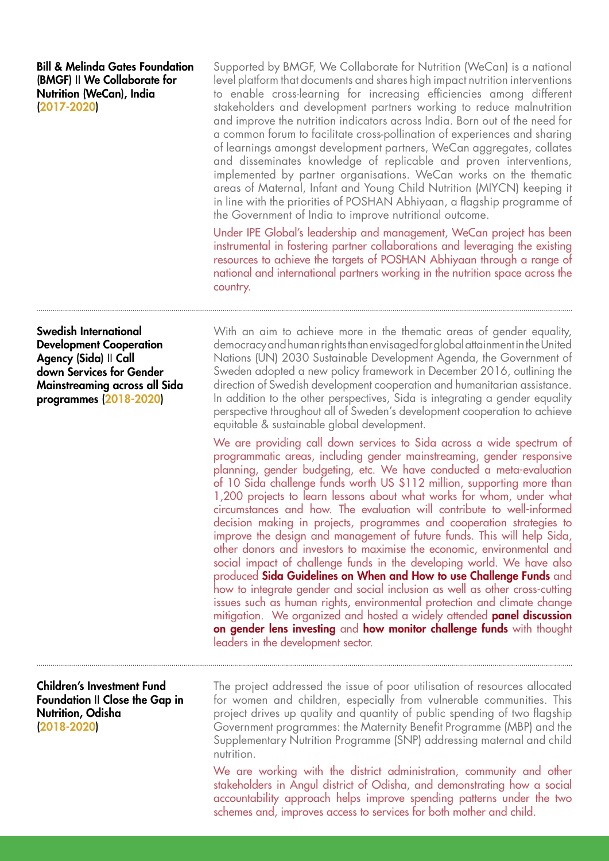Bill & Melinda Gates Foundation (BMGF) II We Collaborate for Nutrition (WeCan), India (2017-2020)

Supported by BMGF, We Collaborate for Nutrition (WeCan) is a national level platform that documents and shares high impact nutrition interventions to enable cross-learning for increasing efficiencies among different stakeholders and development partners working to reduce malnutrition and improve the nutrition indicators across India. Born out of the need for a common forum to facilitate cross-pollination of experiences and sharing of learnings amongst development partners, WeCan aggregates, collates and disseminates knowledge of replicable and proven interventions, implemented by partner organisations. WeCan works on the thematic areas of Maternal, Infant and Young Child Nutrition (MIYCN) keeping it in line with the priorities of POSHAN Abhiyaan, a flagship programme of the Government of India to improve nutritional outcome.

Under IPE Global's leadership and management, WeCan project has been instrumental in fostering partner collaborations and leveraging the existing resources to achieve the targets of POSHAN Abhiyaan through a range of national and international partners working in the nutrition space across the country.

Swedish International Development Cooperation Agency (Sida) II Call down Services for Gender Mainstreaming across all Sida programmes (2018-2020)

Children's Investment Fund Foundation II Close the Gap in Nutrition, Odisha (2018-2020)

With an aim to achieve more in the thematic areas of gender equality, democracy and human rights than envisaged for global attainment in the United Nations (UN) 2030 Sustainable Development Agenda, the Government of Sweden adopted a new policy framework in December 2016, outlining the direction of Swedish development cooperation and humanitarian assistance. In addition to the other perspectives, Sida is integrating a gender equality perspective throughout all of Sweden's development cooperation to achieve equitable & sustainable global development.

We are providing call down services to Sida across a wide spectrum of programmatic areas, including gender mainstreaming, gender responsive planning, gender budgeting, etc. We have conducted a meta-evaluation of 10 Sida challenge funds worth US \$112 million, supporting more than 1,200 projects to learn lessons about what works for whom, under what circumstances and how. The evaluation will contribute to well-informed decision making in projects, programmes and cooperation strategies to improve the design and management of future funds. This will help Sida, other donors and investors to maximise the economic, environmental and social impact of challenge funds in the developing world. We have also produced Sida Guidelines on When and How to use Challenge Funds and how to integrate gender and social inclusion as well as other cross-cutting issues such as human rights, environmental protection and climate change mitigation. We organized and hosted a widely attended **panel discussion** on gender lens investing and how monitor challenge funds with thought leaders in the development sector.

The project addressed the issue of poor utilisation of resources allocated for women and children, especially from vulnerable communities. This project drives up quality and quantity of public spending of two flagship Government programmes: the Maternity Benefit Programme (MBP) and the Supplementary Nutrition Programme (SNP) addressing maternal and child nutrition.

We are working with the district administration, community and other stakeholders in Angul district of Odisha, and demonstrating how a social accountability approach helps improve spending patterns under the two schemes and, improves access to services for both mother and child.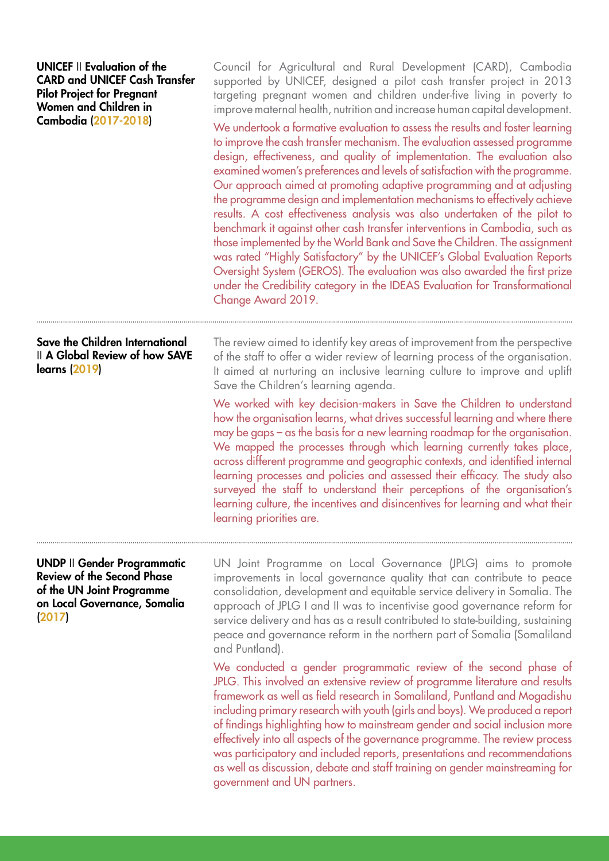| Council for Agricultural and Rural Development (CARD), Cambodia<br>supported by UNICEF, designed a pilot cash transfer project in 2013<br>targeting pregnant women and children under-five living in poverty to<br>improve maternal health, nutrition and increase human capital development.<br>We undertook a formative evaluation to assess the results and foster learning<br>to improve the cash transfer mechanism. The evaluation assessed programme<br>design, effectiveness, and quality of implementation. The evaluation also<br>examined women's preferences and levels of satisfaction with the programme.<br>Our approach aimed at promoting adaptive programming and at adjusting<br>the programme design and implementation mechanisms to effectively achieve<br>results. A cost effectiveness analysis was also undertaken of the pilot to<br>benchmark it against other cash transfer interventions in Cambodia, such as<br>those implemented by the World Bank and Save the Children. The assignment<br>was rated "Highly Satisfactory" by the UNICEF's Global Evaluation Reports<br>Oversight System (GEROS). The evaluation was also awarded the first prize<br>under the Credibility category in the IDEAS Evaluation for Transformational<br>Change Award 2019. |
|----------------------------------------------------------------------------------------------------------------------------------------------------------------------------------------------------------------------------------------------------------------------------------------------------------------------------------------------------------------------------------------------------------------------------------------------------------------------------------------------------------------------------------------------------------------------------------------------------------------------------------------------------------------------------------------------------------------------------------------------------------------------------------------------------------------------------------------------------------------------------------------------------------------------------------------------------------------------------------------------------------------------------------------------------------------------------------------------------------------------------------------------------------------------------------------------------------------------------------------------------------------------------------------|
| The review aimed to identify key areas of improvement from the perspective<br>of the staff to offer a wider review of learning process of the organisation.<br>It aimed at nurturing an inclusive learning culture to improve and uplift<br>Save the Children's learning agenda.<br>We worked with key decision-makers in Save the Children to understand<br>how the organisation learns, what drives successful learning and where there<br>may be gaps $-\alpha s$ the basis for a new learning roadmap for the organisation.<br>We mapped the processes through which learning currently takes place,<br>across different programme and geographic contexts, and identified internal<br>learning processes and policies and assessed their efficacy. The study also<br>surveyed the staff to understand their perceptions of the organisation's<br>learning culture, the incentives and disincentives for learning and what their<br>learning priorities are.                                                                                                                                                                                                                                                                                                                       |
| UN Joint Programme on Local Governance (JPLG) aims to promote<br>improvements in local governance quality that can contribute to peace<br>consolidation, development and equitable service delivery in Somalia. The<br>approach of JPLG I and II was to incentivise good governance reform for<br>service delivery and has as a result contributed to state-building, sustaining<br>peace and governance reform in the northern part of Somalia (Somaliland<br>and Puntland).<br>We conducted a gender programmatic review of the second phase of<br>JPLG. This involved an extensive review of programme literature and results<br>framework as well as field research in Somaliland, Puntland and Mogadishu<br>including primary research with youth (girls and boys). We produced a report<br>of findings highlighting how to mainstream gender and social inclusion more<br>effectively into all aspects of the governance programme. The review process<br>was participatory and included reports, presentations and recommendations                                                                                                                                                                                                                                              |
|                                                                                                                                                                                                                                                                                                                                                                                                                                                                                                                                                                                                                                                                                                                                                                                                                                                                                                                                                                                                                                                                                                                                                                                                                                                                                        |